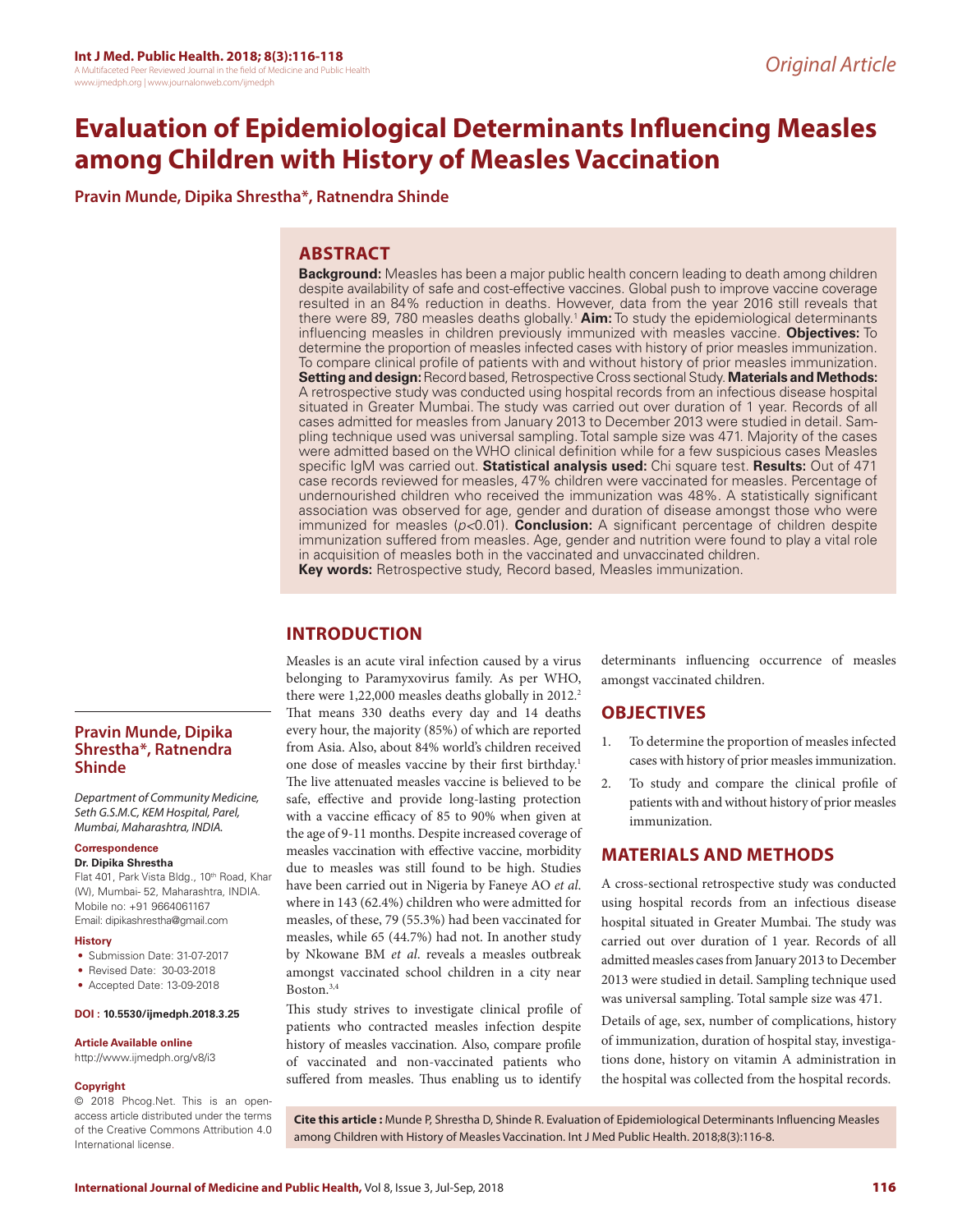# **Evaluation of Epidemiological Determinants Influencing Measles among Children with History of Measles Vaccination**

**Pravin Munde, Dipika Shrestha\*, Ratnendra Shinde**

# **ABSTRACT**

**Background:** Measles has been a major public health concern leading to death among children despite availability of safe and cost-effective vaccines. Global push to improve vaccine coverage resulted in an 84% reduction in deaths. However, data from the year 2016 still reveals that there were 89, 780 measles deaths globally.<sup>1</sup> Aim: To study the epidemiological determinants influencing measles in children previously immunized with measles vaccine. **Objectives:** To determine the proportion of measles infected cases with history of prior measles immunization. To compare clinical profile of patients with and without history of prior measles immunization. **Setting and design:** Record based, Retrospective Cross sectional Study. **Materials and Methods:**  A retrospective study was conducted using hospital records from an infectious disease hospital situated in Greater Mumbai. The study was carried out over duration of 1 year. Records of all cases admitted for measles from January 2013 to December 2013 were studied in detail. Sampling technique used was universal sampling. Total sample size was 471. Majority of the cases were admitted based on the WHO clinical definition while for a few suspicious cases Measles specific IgM was carried out. **Statistical analysis used:** Chi square test. **Results:** Out of 471 case records reviewed for measles, 47% children were vaccinated for measles. Percentage of undernourished children who received the immunization was 48%. A statistically significant association was observed for age, gender and duration of disease amongst those who were immunized for measles (*p<*0.01). **Conclusion:** A significant percentage of children despite immunization suffered from measles. Age, gender and nutrition were found to play a vital role in acquisition of measles both in the vaccinated and unvaccinated children. **Key words:** Retrospective study, Record based, Measles immunization.

# **INTRODUCTION**

Measles is an acute viral infection caused by a virus belonging to Paramyxovirus family. As per WHO, there were 1,22,000 measles deaths globally in 2012.<sup>2</sup> That means 330 deaths every day and 14 deaths every hour, the majority (85%) of which are reported from Asia. Also, about 84% world's children received one dose of measles vaccine by their first birthday.<sup>1</sup> The live attenuated measles vaccine is believed to be safe, effective and provide long-lasting protection with a vaccine efficacy of 85 to 90% when given at the age of 9-11 months. Despite increased coverage of measles vaccination with effective vaccine, morbidity due to measles was still found to be high. Studies have been carried out in Nigeria by Faneye AO *et al*. where in 143 (62.4%) children who were admitted for measles, of these, 79 (55.3%) had been vaccinated for measles, while 65 (44.7%) had not. In another study by Nkowane BM *et al*. reveals a measles outbreak amongst vaccinated school children in a city near Boston.3,4

This study strives to investigate clinical profile of patients who contracted measles infection despite history of measles vaccination. Also, compare profile of vaccinated and non-vaccinated patients who suffered from measles. Thus enabling us to identify

determinants influencing occurrence of measles amongst vaccinated children.

# **OBJECTIVES**

- 1. To determine the proportion of measles infected cases with history of prior measles immunization.
- 2. To study and compare the clinical profile of patients with and without history of prior measles immunization.

# **MATERIALS AND METHODS**

A cross-sectional retrospective study was conducted using hospital records from an infectious disease hospital situated in Greater Mumbai. The study was carried out over duration of 1 year. Records of all admitted measles cases from January 2013 to December 2013 were studied in detail. Sampling technique used was universal sampling. Total sample size was 471.

Details of age, sex, number of complications, history of immunization, duration of hospital stay, investigations done, history on vitamin A administration in the hospital was collected from the hospital records.

### **Pravin Munde, Dipika Shrestha\*, Ratnendra Shinde**

*Department of Community Medicine, Seth G.S.M.C, KEM Hospital, Parel, Mumbai, Maharashtra, INDIA.*

#### **Correspondence**

**Dr. Dipika Shrestha**

Flat 401, Park Vista Bldg., 10<sup>th</sup> Road, Khar (W), Mumbai- 52, Maharashtra, INDIA. Mobile no: +91 9664061167 Email: dipikashrestha@gmail.com

#### **History**

- Submission Date: 31-07-2017
- Revised Date: 30-03-2018
- Accepted Date: 13-09-2018

#### **DOI : 10.5530/ijmedph.2018.3.25**

#### **Article Available online**

http://www.ijmedph.org/v8/i3

#### **Copyright**

© 2018 Phcog.Net. This is an openaccess article distributed under the terms of the Creative Commons Attribution 4.0 International license.

**Cite this article :** Munde P, Shrestha D, Shinde R. Evaluation of Epidemiological Determinants Influencing Measles among Children with History of Measles Vaccination. Int J Med Public Health. 2018;8(3):116-8.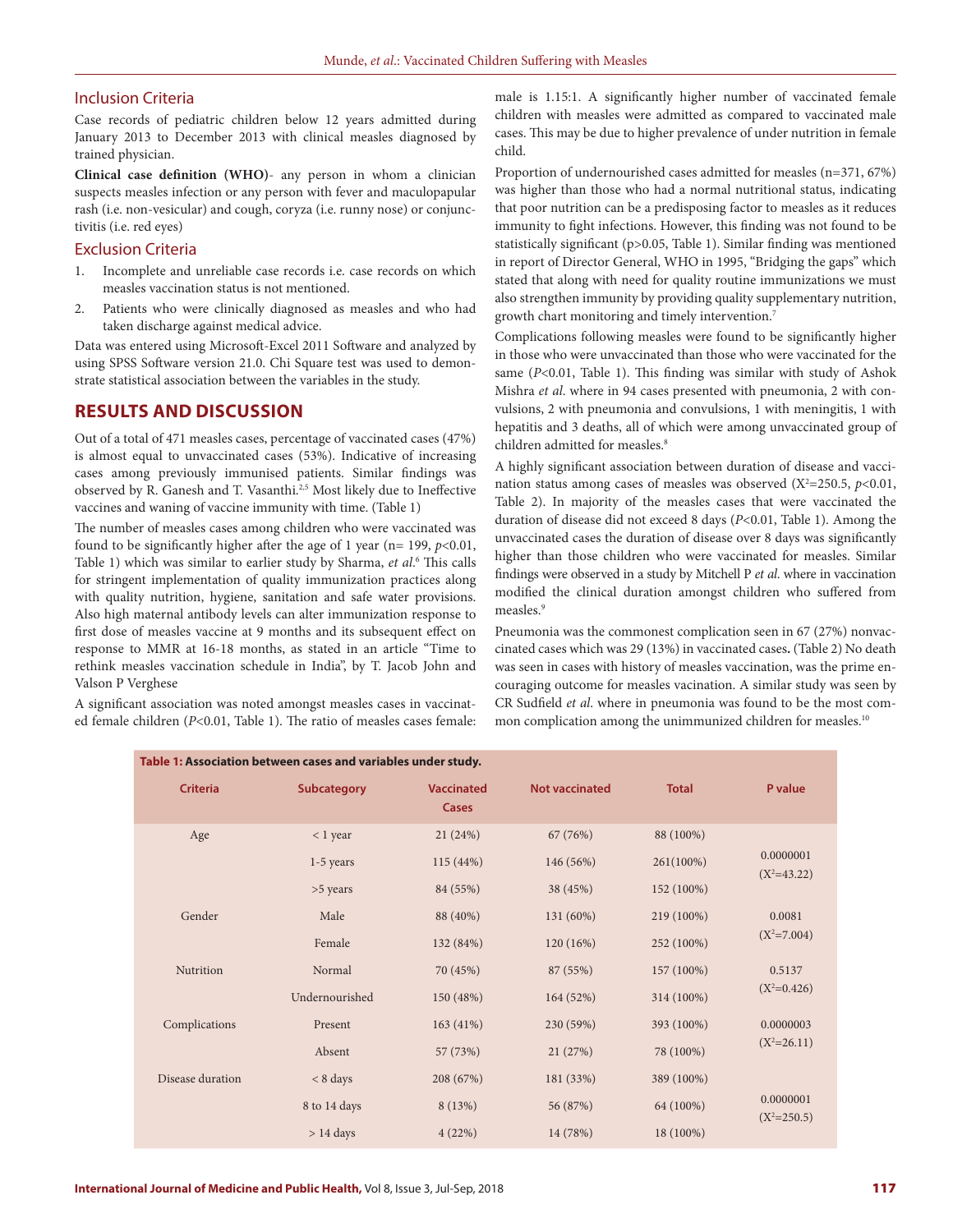#### Inclusion Criteria

Case records of pediatric children below 12 years admitted during January 2013 to December 2013 with clinical measles diagnosed by trained physician.

**Clinical case definition (WHO)**- any person in whom a clinician suspects measles infection or any person with fever and maculopapular rash (i.e. non-vesicular) and cough, coryza (i.e. runny nose) or conjunctivitis (i.e. red eyes)

#### Exclusion Criteria

- 1. Incomplete and unreliable case records i.e. case records on which measles vaccination status is not mentioned.
- Patients who were clinically diagnosed as measles and who had taken discharge against medical advice.

Data was entered using Microsoft-Excel 2011 Software and analyzed by using SPSS Software version 21.0. Chi Square test was used to demonstrate statistical association between the variables in the study.

# **RESULTS AND DISCUSSION**

Out of a total of 471 measles cases, percentage of vaccinated cases (47%) is almost equal to unvaccinated cases (53%). Indicative of increasing cases among previously immunised patients. Similar findings was observed by R. Ganesh and T. Vasanthi.<sup>2,5</sup> Most likely due to Ineffective vaccines and waning of vaccine immunity with time. (Table 1)

The number of measles cases among children who were vaccinated was found to be significantly higher after the age of 1 year ( $n= 199$ ,  $p<0.01$ , Table 1) which was similar to earlier study by Sharma, *et al*. 6 This calls for stringent implementation of quality immunization practices along with quality nutrition, hygiene, sanitation and safe water provisions. Also high maternal antibody levels can alter immunization response to first dose of measles vaccine at 9 months and its subsequent effect on response to MMR at 16-18 months, as stated in an article "Time to rethink measles vaccination schedule in India", by T. Jacob John and Valson P Verghese

A significant association was noted amongst measles cases in vaccinated female children (*P*<0.01, Table 1). The ratio of measles cases female: male is 1.15:1. A significantly higher number of vaccinated female children with measles were admitted as compared to vaccinated male cases. This may be due to higher prevalence of under nutrition in female child.

Proportion of undernourished cases admitted for measles (n=371, 67%) was higher than those who had a normal nutritional status, indicating that poor nutrition can be a predisposing factor to measles as it reduces immunity to fight infections. However, this finding was not found to be statistically significant (p>0.05, Table 1). Similar finding was mentioned in report of Director General, WHO in 1995, "Bridging the gaps" which stated that along with need for quality routine immunizations we must also strengthen immunity by providing quality supplementary nutrition, growth chart monitoring and timely intervention.7

Complications following measles were found to be significantly higher in those who were unvaccinated than those who were vaccinated for the same (*P*<0.01, Table 1). This finding was similar with study of Ashok Mishra *et al*. where in 94 cases presented with pneumonia, 2 with convulsions, 2 with pneumonia and convulsions, 1 with meningitis, 1 with hepatitis and 3 deaths, all of which were among unvaccinated group of children admitted for measles.<sup>8</sup>

A highly significant association between duration of disease and vaccination status among cases of measles was observed  $(X^2=250.5, p<0.01,$ Table 2). In majority of the measles cases that were vaccinated the duration of disease did not exceed 8 days (*P*<0.01, Table 1). Among the unvaccinated cases the duration of disease over 8 days was significantly higher than those children who were vaccinated for measles. Similar findings were observed in a study by Mitchell P *et al*. where in vaccination modified the clinical duration amongst children who suffered from measles.<sup>9</sup>

Pneumonia was the commonest complication seen in 67 (27%) nonvaccinated cases which was 29 (13%) in vaccinated cases**.** (Table 2) No death was seen in cases with history of measles vaccination, was the prime encouraging outcome for measles vacination. A similar study was seen by CR Sudfield *et al*. where in pneumonia was found to be the most common complication among the unimmunized children for measles.<sup>10</sup>

| Table 1: Association between cases and variables under study. |                    |                                   |                       |              |                            |  |
|---------------------------------------------------------------|--------------------|-----------------------------------|-----------------------|--------------|----------------------------|--|
| <b>Criteria</b>                                               | <b>Subcategory</b> | <b>Vaccinated</b><br><b>Cases</b> | <b>Not vaccinated</b> | <b>Total</b> | P value                    |  |
| Age                                                           | $< 1$ year         | 21(24%)                           | 67 (76%)              | 88 (100%)    |                            |  |
|                                                               | $1-5$ years        | 115(44%)                          | 146 (56%)             | 261(100%)    | 0.0000001<br>$(X^2=43.22)$ |  |
|                                                               | >5 years           | 84 (55%)                          | 38 (45%)              | 152 (100%)   |                            |  |
| Gender                                                        | Male               | 88 (40%)                          | 131 (60%)             | 219 (100%)   | 0.0081                     |  |
|                                                               | Female             | 132 (84%)                         | 120(16%)              | 252 (100%)   | $(X^2=7.004)$              |  |
| Nutrition                                                     | Normal             | 70 (45%)                          | 87 (55%)              | 157 (100%)   | 0.5137                     |  |
|                                                               | Undernourished     | 150 (48%)                         | 164 (52%)             | 314 (100%)   | $(X^2=0.426)$              |  |
| Complications                                                 | Present            | 163(41%)                          | 230 (59%)             | 393 (100%)   | 0.0000003                  |  |
|                                                               | Absent             | 57 (73%)                          | 21(27%)               | 78 (100%)    | $(X^2=26.11)$              |  |
| Disease duration                                              | $< 8 \text{ days}$ | 208 (67%)                         | 181 (33%)             | 389 (100%)   |                            |  |
|                                                               | 8 to 14 days       | 8 (13%)                           | 56 (87%)              | 64 (100%)    | 0.0000001<br>$(X^2=250.5)$ |  |
|                                                               | $> 14$ days        | 4(22%)                            | 14 (78%)              | 18 (100%)    |                            |  |